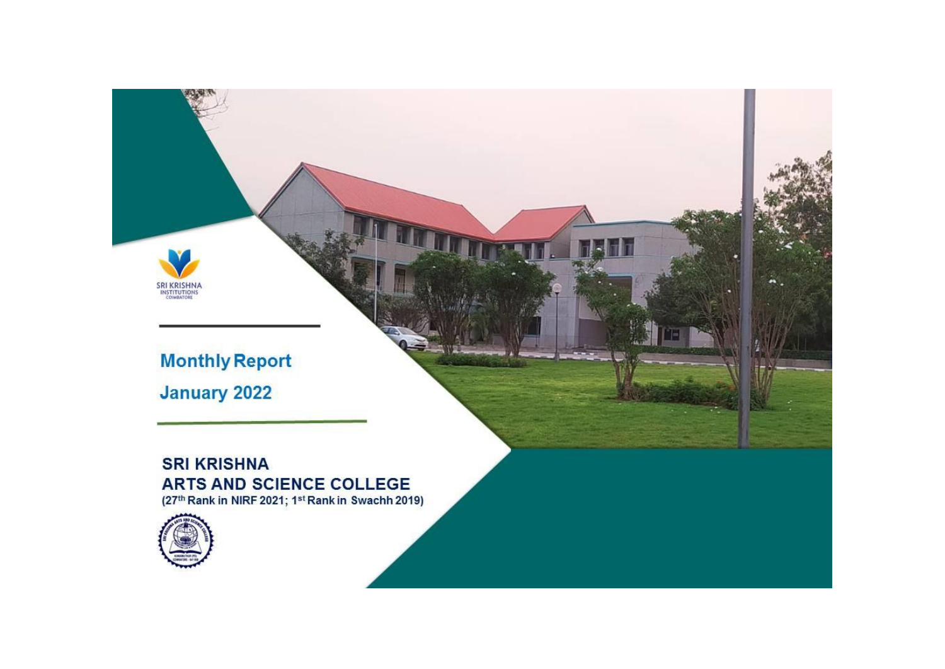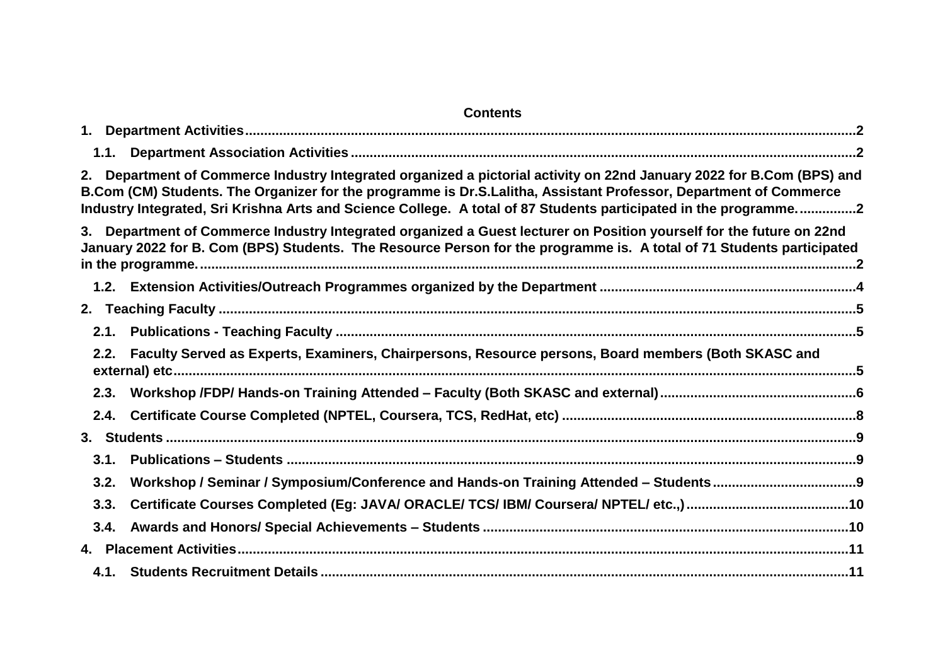#### **Contents**

| 2. |      | Department of Commerce Industry Integrated organized a pictorial activity on 22nd January 2022 for B.Com (BPS) and<br>B.Com (CM) Students. The Organizer for the programme is Dr.S.Lalitha, Assistant Professor, Department of Commerce<br>Industry Integrated, Sri Krishna Arts and Science College. A total of 87 Students participated in the programme2 |  |
|----|------|-------------------------------------------------------------------------------------------------------------------------------------------------------------------------------------------------------------------------------------------------------------------------------------------------------------------------------------------------------------|--|
| 3. |      | Department of Commerce Industry Integrated organized a Guest lecturer on Position yourself for the future on 22nd<br>January 2022 for B. Com (BPS) Students. The Resource Person for the programme is. A total of 71 Students participated                                                                                                                  |  |
|    |      |                                                                                                                                                                                                                                                                                                                                                             |  |
|    |      |                                                                                                                                                                                                                                                                                                                                                             |  |
|    |      |                                                                                                                                                                                                                                                                                                                                                             |  |
|    |      | 2.2. Faculty Served as Experts, Examiners, Chairpersons, Resource persons, Board members (Both SKASC and                                                                                                                                                                                                                                                    |  |
|    | 2.3. |                                                                                                                                                                                                                                                                                                                                                             |  |
|    | 2.4. |                                                                                                                                                                                                                                                                                                                                                             |  |
|    |      |                                                                                                                                                                                                                                                                                                                                                             |  |
|    |      |                                                                                                                                                                                                                                                                                                                                                             |  |
|    | 3.2. |                                                                                                                                                                                                                                                                                                                                                             |  |
|    | 3.3. |                                                                                                                                                                                                                                                                                                                                                             |  |
|    |      |                                                                                                                                                                                                                                                                                                                                                             |  |
|    |      |                                                                                                                                                                                                                                                                                                                                                             |  |
|    |      |                                                                                                                                                                                                                                                                                                                                                             |  |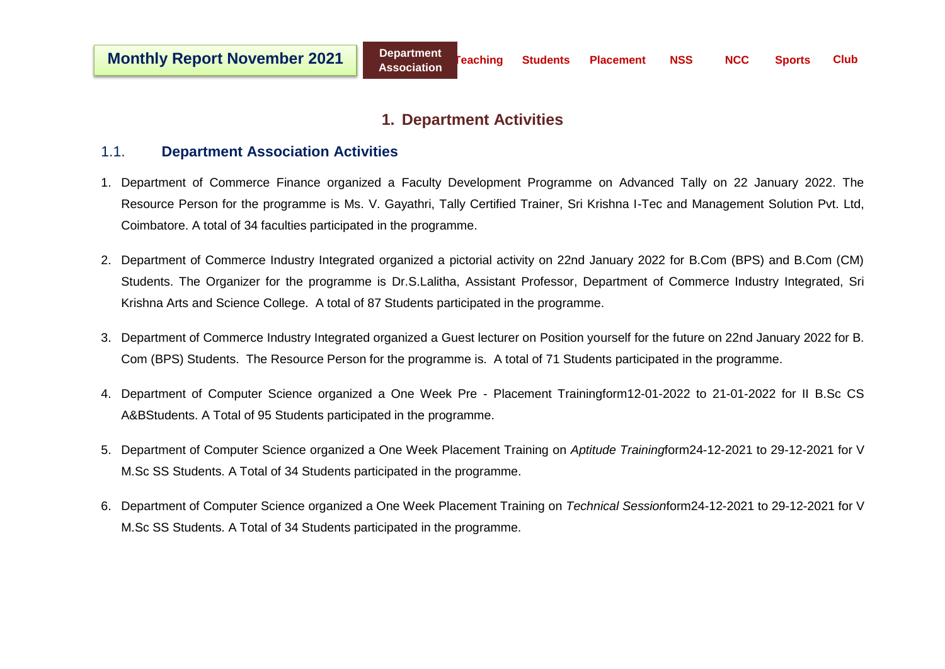### **1. Department Activities**

#### <span id="page-2-1"></span><span id="page-2-0"></span>1.1. **Department Association Activities**

- 1. Department of Commerce Finance organized a Faculty Development Programme on Advanced Tally on 22 January 2022. The Resource Person for the programme is Ms. V. Gayathri, Tally Certified Trainer, Sri Krishna I-Tec and Management Solution Pvt. Ltd, Coimbatore. A total of 34 faculties participated in the programme.
- <span id="page-2-2"></span>2. Department of Commerce Industry Integrated organized a pictorial activity on 22nd January 2022 for B.Com (BPS) and B.Com (CM) Students. The Organizer for the programme is Dr.S.Lalitha, Assistant Professor, Department of Commerce Industry Integrated, Sri Krishna Arts and Science College. A total of 87 Students participated in the programme.
- <span id="page-2-3"></span>3. Department of Commerce Industry Integrated organized a Guest lecturer on Position yourself for the future on 22nd January 2022 for B. Com (BPS) Students. The Resource Person for the programme is. A total of 71 Students participated in the programme.
- 4. Department of Computer Science organized a One Week Pre Placement Trainingform12-01-2022 to 21-01-2022 for II B.Sc CS A&BStudents. A Total of 95 Students participated in the programme.
- 5. Department of Computer Science organized a One Week Placement Training on *Aptitude Training*form24-12-2021 to 29-12-2021 for V M.Sc SS Students. A Total of 34 Students participated in the programme.
- 6. Department of Computer Science organized a One Week Placement Training on *Technical Session*form24-12-2021 to 29-12-2021 for V M.Sc SS Students. A Total of 34 Students participated in the programme.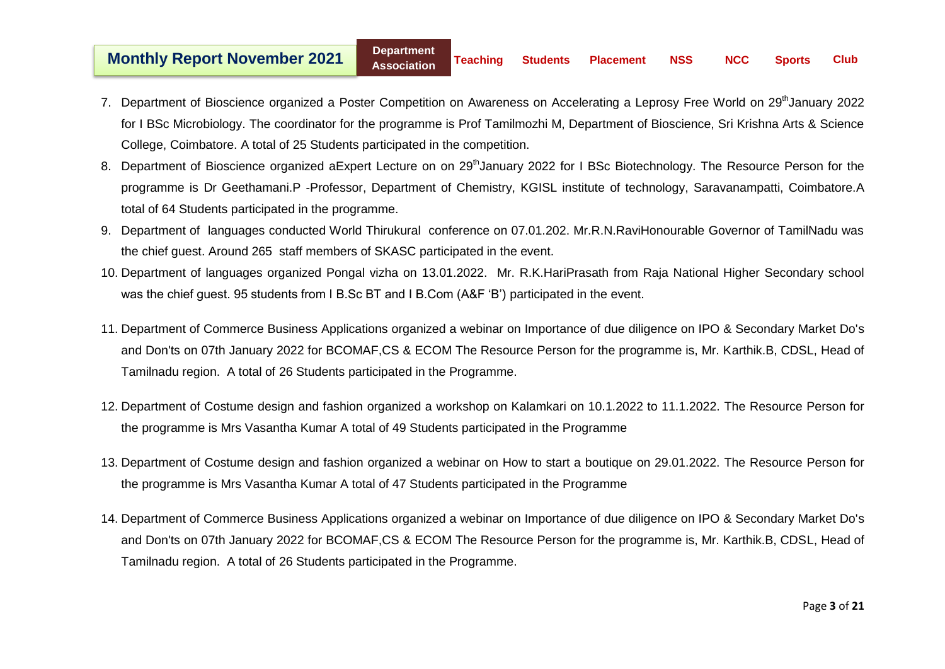- 7. Department of Bioscience organized a Poster Competition on Awareness on Accelerating a Leprosy Free World on 29<sup>th</sup>January 2022 for I BSc Microbiology. The coordinator for the programme is Prof Tamilmozhi M, Department of Bioscience, Sri Krishna Arts & Science College, Coimbatore. A total of 25 Students participated in the competition.
- 8. Department of Bioscience organized aExpert Lecture on on 29<sup>th</sup>January 2022 for I BSc Biotechnology. The Resource Person for the programme is Dr Geethamani.P -Professor, Department of Chemistry, KGISL institute of technology, Saravanampatti, Coimbatore.A total of 64 Students participated in the programme.
- 9. Department of languages conducted World Thirukural conference on 07.01.202. Mr.R.N.RaviHonourable Governor of TamilNadu was the chief guest. Around 265 staff members of SKASC participated in the event.
- 10. Department of languages organized Pongal vizha on 13.01.2022. Mr. R.K.HariPrasath from Raja National Higher Secondary school was the chief guest. 95 students from I B.Sc BT and I B.Com (A&F 'B') participated in the event.
- 11. Department of Commerce Business Applications organized a webinar on Importance of due diligence on IPO & Secondary Market Do's and Don'ts on 07th January 2022 for BCOMAF,CS & ECOM The Resource Person for the programme is, Mr. Karthik.B, CDSL, Head of Tamilnadu region. A total of 26 Students participated in the Programme.
- 12. Department of Costume design and fashion organized a workshop on Kalamkari on 10.1.2022 to 11.1.2022. The Resource Person for the programme is Mrs Vasantha Kumar A total of 49 Students participated in the Programme
- 13. Department of Costume design and fashion organized a webinar on How to start a boutique on 29.01.2022. The Resource Person for the programme is Mrs Vasantha Kumar A total of 47 Students participated in the Programme
- 14. Department of Commerce Business Applications organized a webinar on Importance of due diligence on IPO & Secondary Market Do's and Don'ts on 07th January 2022 for BCOMAF,CS & ECOM The Resource Person for the programme is, Mr. Karthik.B, CDSL, Head of Tamilnadu region. A total of 26 Students participated in the Programme.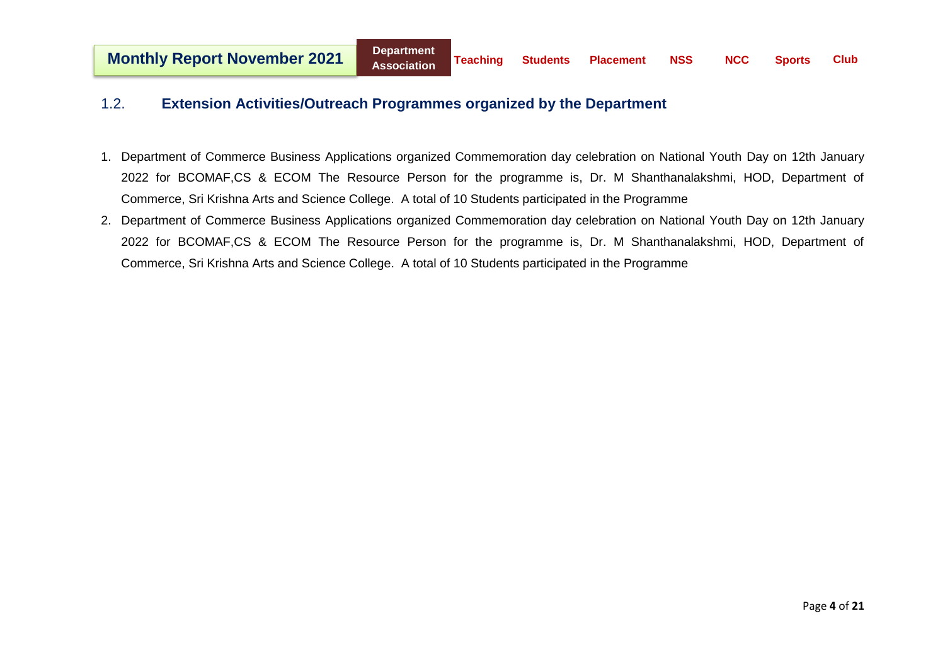#### <span id="page-4-0"></span>1.2. **Extension Activities/Outreach Programmes organized by the Department**

- 1. Department of Commerce Business Applications organized Commemoration day celebration on National Youth Day on 12th January 2022 for BCOMAF,CS & ECOM The Resource Person for the programme is, Dr. M Shanthanalakshmi, HOD, Department of Commerce, Sri Krishna Arts and Science College. A total of 10 Students participated in the Programme
- 2. Department of Commerce Business Applications organized Commemoration day celebration on National Youth Day on 12th January 2022 for BCOMAF,CS & ECOM The Resource Person for the programme is, Dr. M Shanthanalakshmi, HOD, Department of Commerce, Sri Krishna Arts and Science College. A total of 10 Students participated in the Programme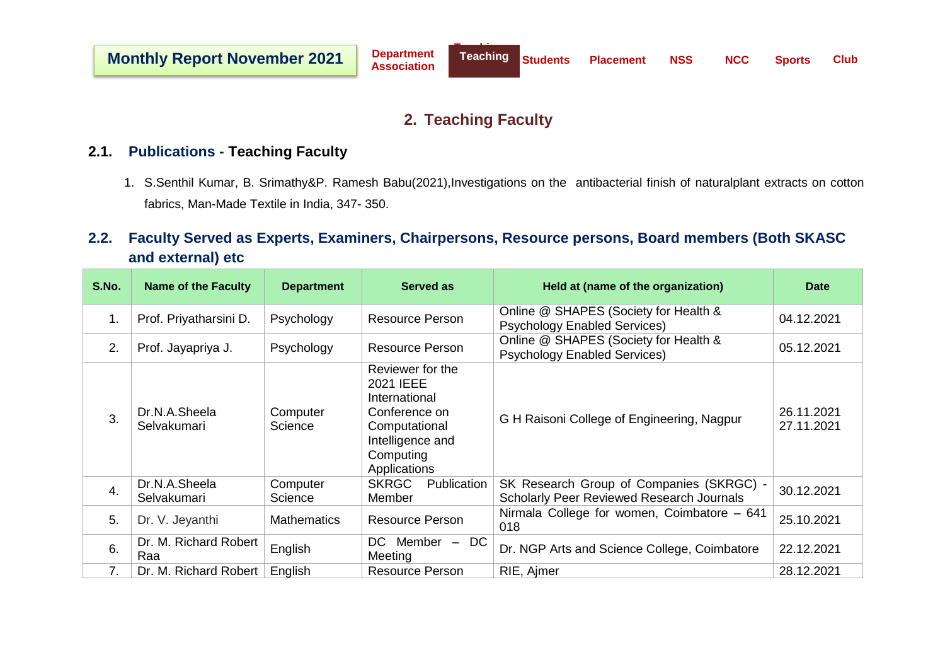### **2. Teaching Faculty**

#### <span id="page-5-1"></span><span id="page-5-0"></span>**2.1. Publications - Teaching Faculty**

1. S.Senthil Kumar, B. Srimathy&P. Ramesh Babu(2021),Investigations on the antibacterial finish of naturalplant extracts on cotton fabrics, Man-Made Textile in India, 347- 350.

## <span id="page-5-2"></span>**2.2. Faculty Served as Experts, Examiners, Chairpersons, Resource persons, Board members (Both SKASC and external) etc**

| S.No.            | <b>Name of the Faculty</b>   | <b>Department</b>   | Served as                                                                                                                         | Held at (name of the organization)                                                           | <b>Date</b>              |
|------------------|------------------------------|---------------------|-----------------------------------------------------------------------------------------------------------------------------------|----------------------------------------------------------------------------------------------|--------------------------|
| 1.               | Prof. Priyatharsini D.       | Psychology          | <b>Resource Person</b>                                                                                                            | Online @ SHAPES (Society for Health &<br><b>Psychology Enabled Services)</b>                 | 04.12.2021               |
| 2.               | Prof. Jayapriya J.           | Psychology          | <b>Resource Person</b>                                                                                                            | Online @ SHAPES (Society for Health &<br><b>Psychology Enabled Services)</b>                 | 05.12.2021               |
| 3.               | Dr.N.A.Sheela<br>Selvakumari | Computer<br>Science | Reviewer for the<br>2021 IEEE<br>International<br>Conference on<br>Computational<br>Intelligence and<br>Computing<br>Applications | G H Raisoni College of Engineering, Nagpur                                                   | 26.11.2021<br>27.11.2021 |
| $\overline{4}$ . | Dr.N.A.Sheela<br>Selvakumari | Computer<br>Science | Publication<br><b>SKRGC</b><br>Member                                                                                             | SK Research Group of Companies (SKRGC) -<br><b>Scholarly Peer Reviewed Research Journals</b> | 30.12.2021               |
| 5.               | Dr. V. Jeyanthi              | <b>Mathematics</b>  | <b>Resource Person</b>                                                                                                            | Nirmala College for women, Coimbatore - 641<br>018                                           | 25.10.2021               |
| 6.               | Dr. M. Richard Robert<br>Raa | English             | $DC$ Member $-DC$<br>Meeting                                                                                                      | Dr. NGP Arts and Science College, Coimbatore                                                 | 22.12.2021               |
| 7.               | Dr. M. Richard Robert        | English             | <b>Resource Person</b>                                                                                                            | RIE, Ajmer                                                                                   | 28.12.2021               |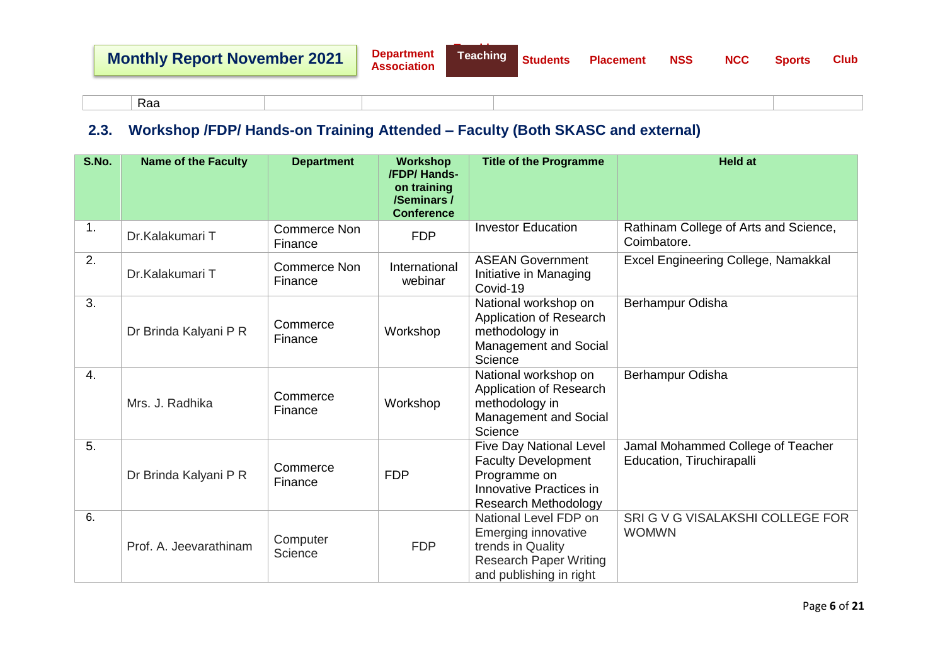| یہ ب<br>Rdd |  |
|-------------|--|
|-------------|--|

## <span id="page-6-0"></span>**2.3. Workshop /FDP/ Hands-on Training Attended – Faculty (Both SKASC and external)**

| <b>S.No.</b> | <b>Name of the Faculty</b> | <b>Department</b>              | <b>Workshop</b><br>/FDP/ Hands-<br>on training<br>/Seminars /<br><b>Conference</b> | <b>Title of the Programme</b>                                                                                                   | <b>Held at</b>                                                 |
|--------------|----------------------------|--------------------------------|------------------------------------------------------------------------------------|---------------------------------------------------------------------------------------------------------------------------------|----------------------------------------------------------------|
| 1.           | Dr.Kalakumari T            | <b>Commerce Non</b><br>Finance | <b>FDP</b>                                                                         | <b>Investor Education</b>                                                                                                       | Rathinam College of Arts and Science,<br>Coimbatore.           |
| 2.           | Dr.Kalakumari T            | <b>Commerce Non</b><br>Finance | International<br>webinar                                                           | <b>ASEAN Government</b><br>Initiative in Managing<br>Covid-19                                                                   | Excel Engineering College, Namakkal                            |
| 3.           | Dr Brinda Kalyani P R      | Commerce<br>Finance            | Workshop                                                                           | National workshop on<br>Application of Research<br>methodology in<br>Management and Social<br>Science                           | Berhampur Odisha                                               |
| 4.           | Mrs. J. Radhika            | Commerce<br>Finance            | Workshop                                                                           | National workshop on<br>Application of Research<br>methodology in<br>Management and Social<br>Science                           | Berhampur Odisha                                               |
| 5.           | Dr Brinda Kalyani P R      | Commerce<br>Finance            | <b>FDP</b>                                                                         | <b>Five Day National Level</b><br><b>Faculty Development</b><br>Programme on<br>Innovative Practices in<br>Research Methodology | Jamal Mohammed College of Teacher<br>Education, Tiruchirapalli |
| 6.           | Prof. A. Jeevarathinam     | Computer<br>Science            | <b>FDP</b>                                                                         | National Level FDP on<br>Emerging innovative<br>trends in Quality<br><b>Research Paper Writing</b><br>and publishing in right   | SRI G V G VISALAKSHI COLLEGE FOR<br><b>WOMWN</b>               |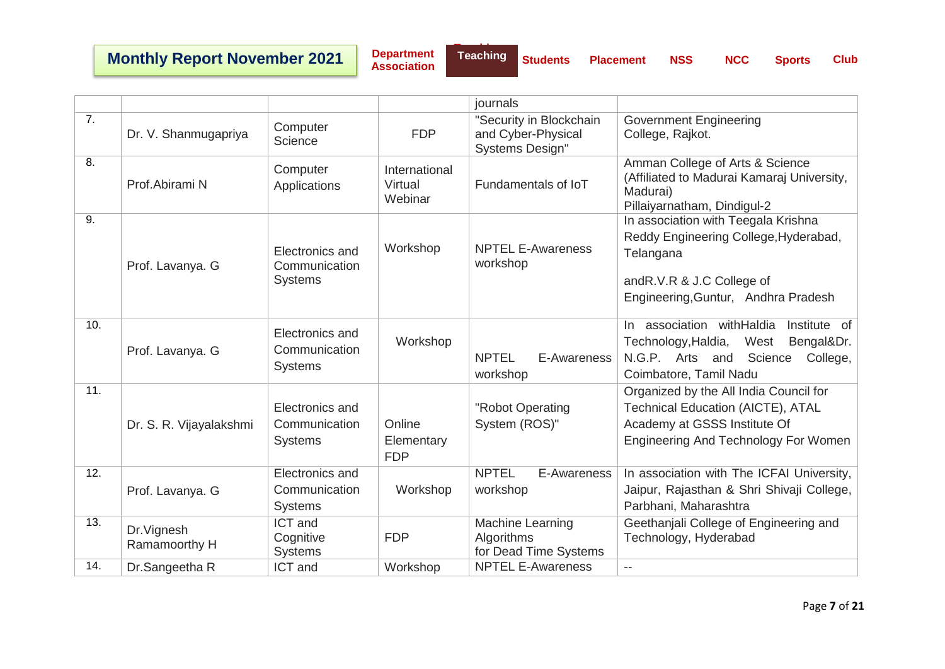# **Monthly Report November 2021**

**Department Association**

**Teaching Students Placement NSS NCC Sports Club**

|                  |                              |                                                    |                                     | journals                                                                |                                                                                                                                                                |
|------------------|------------------------------|----------------------------------------------------|-------------------------------------|-------------------------------------------------------------------------|----------------------------------------------------------------------------------------------------------------------------------------------------------------|
| 7.               | Dr. V. Shanmugapriya         | Computer<br>Science                                | <b>FDP</b>                          | "Security in Blockchain<br>and Cyber-Physical<br><b>Systems Design"</b> | <b>Government Engineering</b><br>College, Rajkot.                                                                                                              |
| $\overline{8}$ . | Prof.Abirami N               | Computer<br>Applications                           | International<br>Virtual<br>Webinar | Fundamentals of IoT                                                     | Amman College of Arts & Science<br>(Affiliated to Madurai Kamaraj University,<br>Madurai)<br>Pillaiyarnatham, Dindigul-2                                       |
| 9.               | Prof. Lavanya. G             | Electronics and<br>Communication<br><b>Systems</b> | Workshop                            | <b>NPTEL E-Awareness</b><br>workshop                                    | In association with Teegala Krishna<br>Reddy Engineering College, Hyderabad,<br>Telangana<br>and R.V.R & J.C College of<br>Engineering, Guntur, Andhra Pradesh |
| 10.              | Prof. Lavanya. G             | Electronics and<br>Communication<br><b>Systems</b> | Workshop                            | <b>NPTEL</b><br>E-Awareness<br>workshop                                 | In association withHaldia<br>Institute of<br>Bengal&Dr.<br>Technology, Haldia,<br>West<br>N.G.P. Arts and<br>Science<br>College,<br>Coimbatore, Tamil Nadu     |
| 11.              | Dr. S. R. Vijayalakshmi      | Electronics and<br>Communication<br><b>Systems</b> | Online<br>Elementary<br><b>FDP</b>  | "Robot Operating<br>System (ROS)"                                       | Organized by the All India Council for<br><b>Technical Education (AICTE), ATAL</b><br>Academy at GSSS Institute Of<br>Engineering And Technology For Women     |
| 12.              | Prof. Lavanya. G             | Electronics and<br>Communication<br><b>Systems</b> | Workshop                            | <b>NPTEL</b><br>E-Awareness<br>workshop                                 | In association with The ICFAI University,<br>Jaipur, Rajasthan & Shri Shivaji College,<br>Parbhani, Maharashtra                                                |
| 13.              | Dr. Vignesh<br>Ramamoorthy H | <b>ICT</b> and<br>Cognitive<br><b>Systems</b>      | <b>FDP</b>                          | Machine Learning<br>Algorithms<br>for Dead Time Systems                 | Geethanjali College of Engineering and<br>Technology, Hyderabad                                                                                                |
| 14.              | Dr.Sangeetha R               | ICT and                                            | Workshop                            | <b>NPTEL E-Awareness</b>                                                | $\overline{\phantom{a}}$                                                                                                                                       |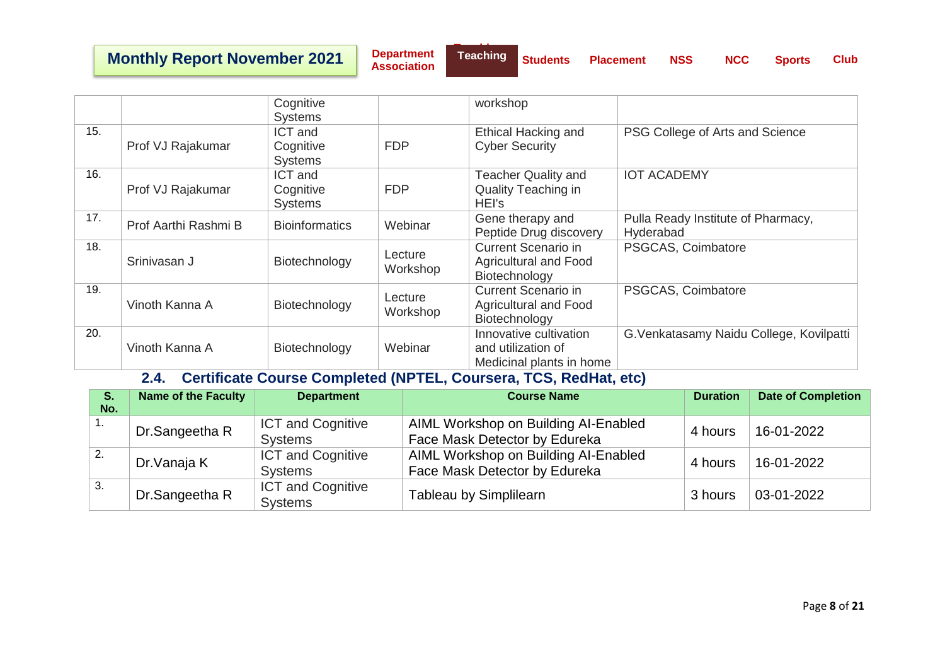## **Monthly Report November 2021**

**Department Association**

|     |                      | Cognitive<br><b>Systems</b>            |                     | workshop                                                                 |                                                 |
|-----|----------------------|----------------------------------------|---------------------|--------------------------------------------------------------------------|-------------------------------------------------|
| 15. | Prof VJ Rajakumar    | ICT and<br>Cognitive<br><b>Systems</b> | <b>FDP</b>          | <b>Ethical Hacking and</b><br><b>Cyber Security</b>                      | PSG College of Arts and Science                 |
| 16. | Prof VJ Rajakumar    | ICT and<br>Cognitive<br><b>Systems</b> | <b>FDP</b>          | <b>Teacher Quality and</b><br>Quality Teaching in<br>HEI's               | <b>IOT ACADEMY</b>                              |
| 17. | Prof Aarthi Rashmi B | <b>Bioinformatics</b>                  | Webinar             | Gene therapy and<br>Peptide Drug discovery                               | Pulla Ready Institute of Pharmacy,<br>Hyderabad |
| 18. | Srinivasan J         | Biotechnology                          | Lecture<br>Workshop | <b>Current Scenario in</b><br>Agricultural and Food<br>Biotechnology     | PSGCAS, Coimbatore                              |
| 19. | Vinoth Kanna A       | Biotechnology                          | Lecture<br>Workshop | <b>Current Scenario in</b><br>Agricultural and Food<br>Biotechnology     | PSGCAS, Coimbatore                              |
| 20. | Vinoth Kanna A       | Biotechnology                          | Webinar             | Innovative cultivation<br>and utilization of<br>Medicinal plants in home | G. Venkatasamy Naidu College, Kovilpatti        |

#### **2.4. Certificate Course Completed (NPTEL, Coursera, TCS, RedHat, etc)**

<span id="page-8-0"></span>

| S.<br>No. | <b>Name of the Faculty</b> | <b>Department</b>                          | <b>Course Name</b>                                                    | <b>Duration</b> | <b>Date of Completion</b> |
|-----------|----------------------------|--------------------------------------------|-----------------------------------------------------------------------|-----------------|---------------------------|
| п.        | Dr.Sangeetha R             | <b>ICT and Cognitive</b><br><b>Systems</b> | AIML Workshop on Building AI-Enabled<br>Face Mask Detector by Edureka | 4 hours         | 16-01-2022                |
| 2.        | Dr. Vanaja K               | <b>ICT and Cognitive</b><br><b>Systems</b> | AIML Workshop on Building AI-Enabled<br>Face Mask Detector by Edureka | 4 hours         | 16-01-2022                |
| 3.        | Dr.Sangeetha R             | <b>ICT and Cognitive</b><br><b>Systems</b> | <b>Tableau by Simplilearn</b>                                         | 3 hours         | 03-01-2022                |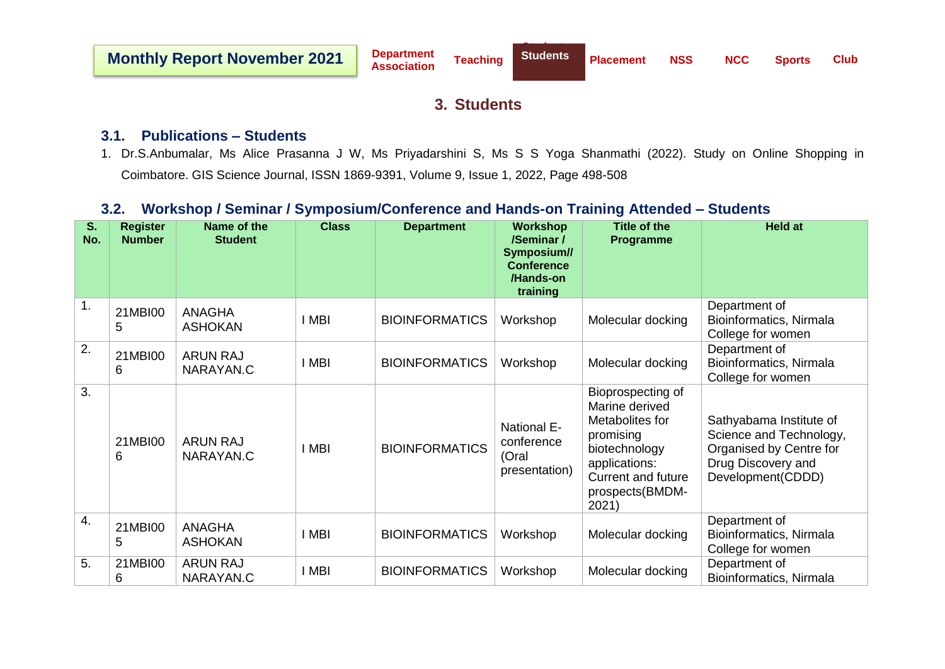### **3. Students**

#### <span id="page-9-1"></span><span id="page-9-0"></span>**3.1. Publications – Students**

1. Dr.S.Anbumalar, Ms Alice Prasanna J W, Ms Priyadarshini S, Ms S S Yoga Shanmathi (2022). Study on Online Shopping in Coimbatore. GIS Science Journal, ISSN 1869-9391, Volume 9, Issue 1, 2022, Page 498-508

### <span id="page-9-2"></span>**3.2. Workshop / Seminar / Symposium/Conference and Hands-on Training Attended – Students**

| S.<br>No.        | <b>Register</b><br><b>Number</b> | Name of the<br><b>Student</b>   | <b>Class</b> | <b>Department</b>     | <b>Workshop</b><br>/Seminar /<br>Symposium//<br><b>Conference</b><br>/Hands-on<br>training | <b>Title of the</b><br><b>Programme</b>                                                                                                                        | <b>Held at</b>                                                                                                           |
|------------------|----------------------------------|---------------------------------|--------------|-----------------------|--------------------------------------------------------------------------------------------|----------------------------------------------------------------------------------------------------------------------------------------------------------------|--------------------------------------------------------------------------------------------------------------------------|
| 1.               | 21MBI00<br>5                     | <b>ANAGHA</b><br><b>ASHOKAN</b> | i mbi        | <b>BIOINFORMATICS</b> | Workshop                                                                                   | Molecular docking                                                                                                                                              | Department of<br>Bioinformatics, Nirmala<br>College for women                                                            |
| 2.               | 21MBI00<br>6                     | <b>ARUN RAJ</b><br>NARAYAN.C    | I MBI        | <b>BIOINFORMATICS</b> | Workshop                                                                                   | Molecular docking                                                                                                                                              | Department of<br>Bioinformatics, Nirmala<br>College for women                                                            |
| 3.               | 21MBI00<br>6                     | <b>ARUN RAJ</b><br>NARAYAN.C    | i mbi        | <b>BIOINFORMATICS</b> | <b>National E-</b><br>conference<br>(Oral<br>presentation)                                 | Bioprospecting of<br>Marine derived<br>Metabolites for<br>promising<br>biotechnology<br>applications:<br><b>Current and future</b><br>prospects(BMDM-<br>2021) | Sathyabama Institute of<br>Science and Technology,<br>Organised by Centre for<br>Drug Discovery and<br>Development(CDDD) |
| $\overline{4}$ . | 21MBI00<br>5                     | <b>ANAGHA</b><br><b>ASHOKAN</b> | I MBI        | <b>BIOINFORMATICS</b> | Workshop                                                                                   | Molecular docking                                                                                                                                              | Department of<br>Bioinformatics, Nirmala<br>College for women                                                            |
| 5.               | 21MBI00<br>6                     | <b>ARUN RAJ</b><br>NARAYAN.C    | I MBI        | <b>BIOINFORMATICS</b> | Workshop                                                                                   | Molecular docking                                                                                                                                              | Department of<br>Bioinformatics, Nirmala                                                                                 |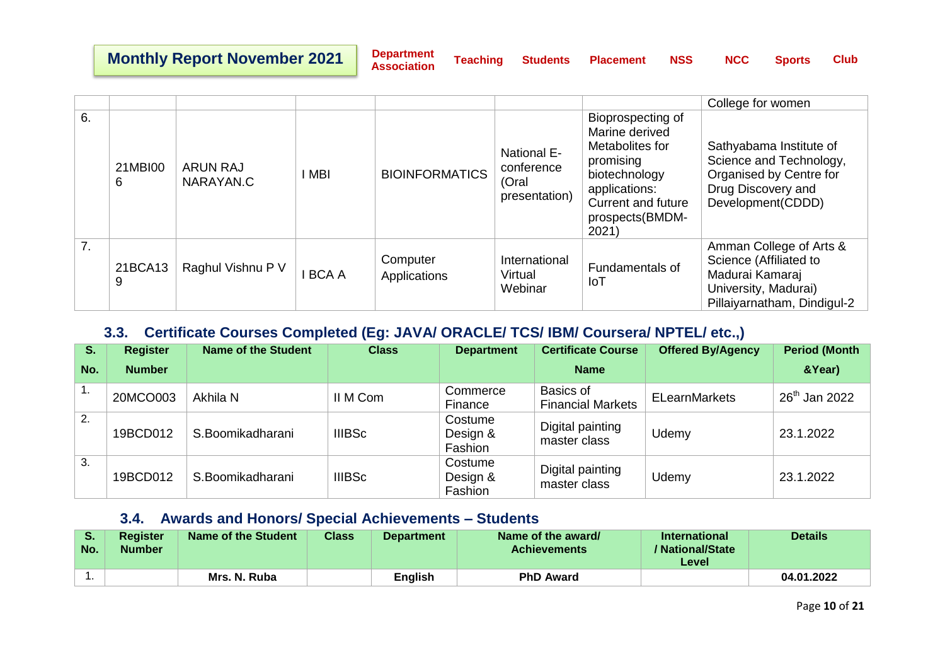**Department** 

**Association Teaching Students Placement NSS NCC Sports Club**

|    |              |                              |             |                          |                                                            |                                                                                                                                                                | College for women                                                                                                           |
|----|--------------|------------------------------|-------------|--------------------------|------------------------------------------------------------|----------------------------------------------------------------------------------------------------------------------------------------------------------------|-----------------------------------------------------------------------------------------------------------------------------|
| 6. | 21MBI00<br>6 | <b>ARUN RAJ</b><br>NARAYAN.C | I MBI       | <b>BIOINFORMATICS</b>    | <b>National E-</b><br>conference<br>(Oral<br>presentation) | Bioprospecting of<br>Marine derived<br>Metabolites for<br>promising<br>biotechnology<br>applications:<br><b>Current and future</b><br>prospects(BMDM-<br>2021) | Sathyabama Institute of<br>Science and Technology,<br>Organised by Centre for<br>Drug Discovery and<br>Development(CDDD)    |
| 7. | 21BCA13<br>9 | Raghul Vishnu P V            | <b>BCAA</b> | Computer<br>Applications | International<br>Virtual<br>Webinar                        | Fundamentals of<br>IoT                                                                                                                                         | Amman College of Arts &<br>Science (Affiliated to<br>Madurai Kamaraj<br>University, Madurai)<br>Pillaiyarnatham, Dindigul-2 |

## <span id="page-10-0"></span>**3.3. Certificate Courses Completed (Eg: JAVA/ ORACLE/ TCS/ IBM/ Coursera/ NPTEL/ etc.,)**

| S.  | <b>Register</b> | Name of the Student | <b>Class</b>  | <b>Department</b>              | <b>Certificate Course</b>             | <b>Offered By/Agency</b> | <b>Period (Month)</b> |
|-----|-----------------|---------------------|---------------|--------------------------------|---------------------------------------|--------------------------|-----------------------|
| No. | <b>Number</b>   |                     |               |                                | <b>Name</b>                           |                          | &Year)                |
| 1.  | 20MCO003        | Akhila N            | II M Com      | Commerce<br>Finance            | Basics of<br><b>Financial Markets</b> | <b>ELearnMarkets</b>     | $26^{th}$ Jan 2022    |
| 2.  | 19BCD012        | S.Boomikadharani    | <b>IIIBSc</b> | Costume<br>Design &<br>Fashion | Digital painting<br>master class      | Udemy                    | 23.1.2022             |
| 3.  | 19BCD012        | S.Boomikadharani    | <b>IIIBSc</b> | Costume<br>Design &<br>Fashion | Digital painting<br>master class      | Udemy                    | 23.1.2022             |

#### **3.4. Awards and Honors/ Special Achievements – Students**

<span id="page-10-1"></span>

| Э.<br>No. | <b>Register</b><br><b>Number</b> | Name of the Student | <b>Class</b> | <b>Department</b> | Name of the award/<br><b>Achievements</b> | International<br>/ National/State<br>Level | <b>Details</b> |
|-----------|----------------------------------|---------------------|--------------|-------------------|-------------------------------------------|--------------------------------------------|----------------|
|           |                                  | Mrs. N. Ruba        |              | English           | <b>PhD Award</b>                          |                                            | 04.01.2022     |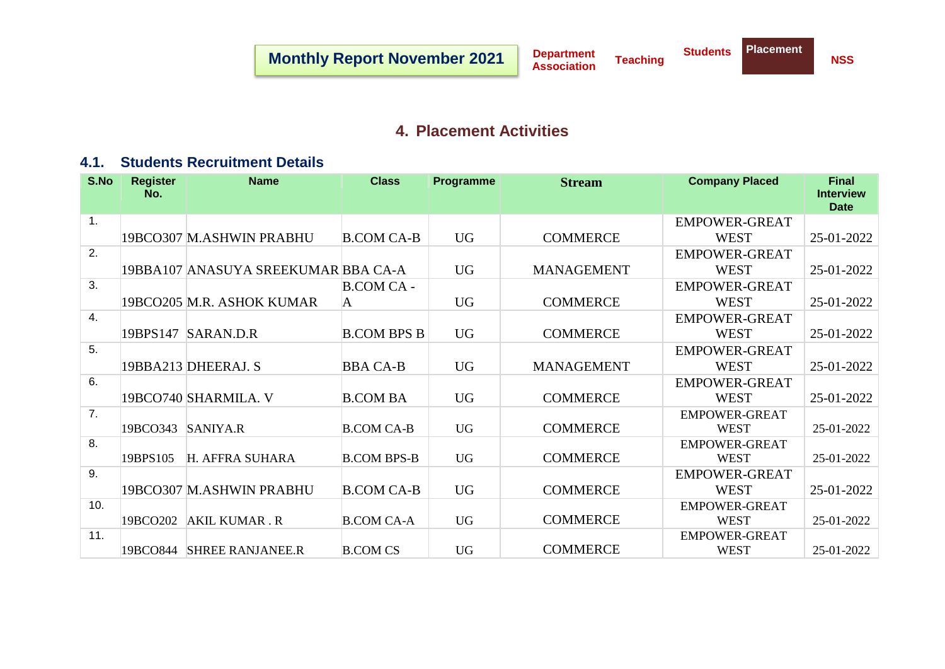## **4. Placement Activities**

### <span id="page-11-1"></span><span id="page-11-0"></span>**4.1. Students Recruitment Details**

| S.No | <b>Register</b><br>No. | <b>Name</b>                         | <b>Class</b>       | <b>Programme</b> | <b>Stream</b>     | <b>Company Placed</b> | <b>Final</b><br><b>Interview</b><br><b>Date</b> |
|------|------------------------|-------------------------------------|--------------------|------------------|-------------------|-----------------------|-------------------------------------------------|
| 1.   |                        |                                     |                    |                  |                   | <b>EMPOWER-GREAT</b>  |                                                 |
|      |                        | 19BCO307 M.ASHWIN PRABHU            | <b>B.COM CA-B</b>  | <b>UG</b>        | <b>COMMERCE</b>   | <b>WEST</b>           | 25-01-2022                                      |
| 2.   |                        |                                     |                    |                  |                   | <b>EMPOWER-GREAT</b>  |                                                 |
|      |                        | 19BBA107 ANASUYA SREEKUMAR BBA CA-A |                    | <b>UG</b>        | <b>MANAGEMENT</b> | <b>WEST</b>           | 25-01-2022                                      |
| 3.   |                        |                                     | <b>B.COM CA -</b>  |                  |                   | <b>EMPOWER-GREAT</b>  |                                                 |
|      |                        | 19BCO205 M.R. ASHOK KUMAR           | A                  | <b>UG</b>        | <b>COMMERCE</b>   | <b>WEST</b>           | 25-01-2022                                      |
| 4.   |                        |                                     |                    |                  |                   | <b>EMPOWER-GREAT</b>  |                                                 |
|      |                        | 19BPS147 SARAN.D.R                  | <b>B.COM BPS B</b> | <b>UG</b>        | <b>COMMERCE</b>   | <b>WEST</b>           | 25-01-2022                                      |
| 5.   |                        |                                     |                    |                  |                   | <b>EMPOWER-GREAT</b>  |                                                 |
|      |                        | 19BBA213 DHEERAJ. S                 | <b>BBA CA-B</b>    | <b>UG</b>        | <b>MANAGEMENT</b> | <b>WEST</b>           | 25-01-2022                                      |
| 6.   |                        |                                     |                    |                  |                   | <b>EMPOWER-GREAT</b>  |                                                 |
|      |                        | 19BCO740 SHARMILA. V                | <b>B.COM BA</b>    | <b>UG</b>        | <b>COMMERCE</b>   | <b>WEST</b>           | 25-01-2022                                      |
| 7.   |                        |                                     |                    |                  |                   | <b>EMPOWER-GREAT</b>  |                                                 |
|      | 19BCO343               | SANIYA.R                            | <b>B.COM CA-B</b>  | <b>UG</b>        | <b>COMMERCE</b>   | <b>WEST</b>           | 25-01-2022                                      |
| 8.   |                        |                                     |                    |                  |                   | <b>EMPOWER-GREAT</b>  |                                                 |
|      | 19BPS105               | H. AFFRA SUHARA                     | <b>B.COM BPS-B</b> | <b>UG</b>        | <b>COMMERCE</b>   | <b>WEST</b>           | 25-01-2022                                      |
| 9.   |                        |                                     |                    |                  |                   | <b>EMPOWER-GREAT</b>  |                                                 |
|      |                        | 19BCO307 M.ASHWIN PRABHU            | <b>B.COM CA-B</b>  | <b>UG</b>        | <b>COMMERCE</b>   | <b>WEST</b>           | 25-01-2022                                      |
| 10.  |                        |                                     |                    |                  |                   | <b>EMPOWER-GREAT</b>  |                                                 |
|      | 19BCO202               | <b>AKIL KUMAR.R</b>                 | <b>B.COM CA-A</b>  | <b>UG</b>        | <b>COMMERCE</b>   | <b>WEST</b>           | 25-01-2022                                      |
| 11.  |                        |                                     |                    |                  |                   | <b>EMPOWER-GREAT</b>  |                                                 |
|      |                        | 19BCO844 SHREE RANJANEE.R           | <b>B.COM CS</b>    | <b>UG</b>        | <b>COMMERCE</b>   | <b>WEST</b>           | 25-01-2022                                      |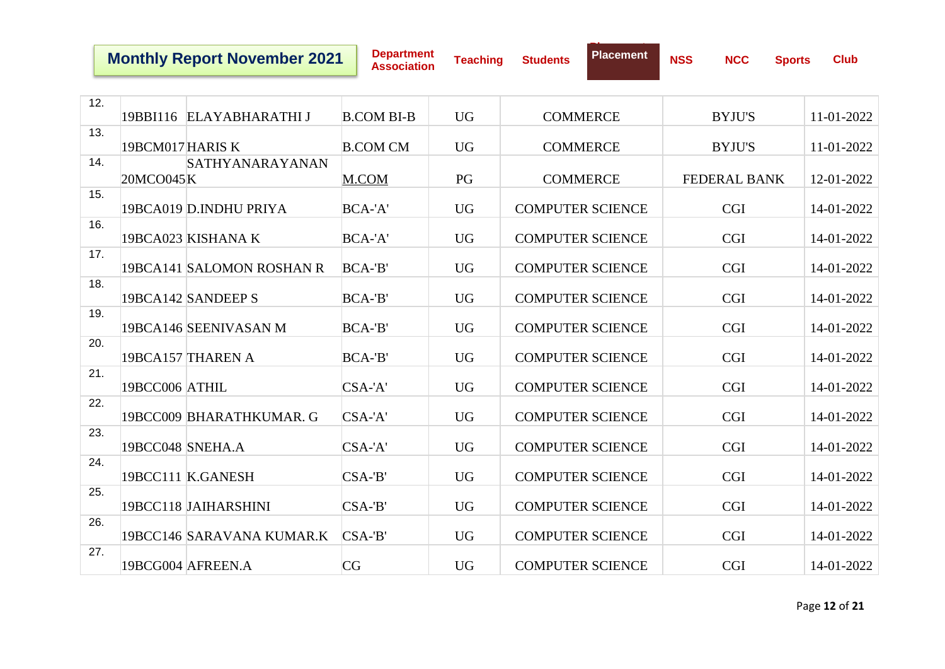**Department Association Teaching Students**

**Placement**

| 12. |                  | 19BBI116 ELAYABHARATHI J  | <b>B.COM BI-B</b> | <b>UG</b> | <b>COMMERCE</b>         | <b>BYJU'S</b>       | 11-01-2022 |
|-----|------------------|---------------------------|-------------------|-----------|-------------------------|---------------------|------------|
|     |                  |                           |                   |           |                         |                     |            |
| 13. | 19BCM017HARIS K  |                           | <b>B.COM CM</b>   | <b>UG</b> | <b>COMMERCE</b>         | <b>BYJU'S</b>       | 11-01-2022 |
| 14. |                  | SATHYANARAYANAN           |                   |           |                         |                     |            |
|     | 20MCO045K        |                           | M.COM             | PG        | <b>COMMERCE</b>         | <b>FEDERAL BANK</b> | 12-01-2022 |
| 15. |                  |                           |                   |           |                         |                     |            |
|     |                  | 19BCA019 D.INDHU PRIYA    | BCA-'A'           | <b>UG</b> | <b>COMPUTER SCIENCE</b> | <b>CGI</b>          | 14-01-2022 |
| 16. |                  |                           |                   |           |                         |                     |            |
|     |                  | 19BCA023 KISHANA K        | BCA-'A'           | <b>UG</b> | <b>COMPUTER SCIENCE</b> | <b>CGI</b>          | 14-01-2022 |
| 17. |                  |                           |                   |           |                         |                     |            |
|     |                  | 19BCA141 SALOMON ROSHAN R | BCA-'B'           | <b>UG</b> | <b>COMPUTER SCIENCE</b> | <b>CGI</b>          | 14-01-2022 |
| 18. |                  |                           |                   |           |                         |                     |            |
|     |                  | 19BCA142 SANDEEP S        | BCA-'B'           | <b>UG</b> | <b>COMPUTER SCIENCE</b> | <b>CGI</b>          | 14-01-2022 |
| 19. |                  |                           |                   |           |                         |                     |            |
|     |                  | 19BCA146 SEENIVASAN M     | BCA-'B'           | <b>UG</b> | <b>COMPUTER SCIENCE</b> | <b>CGI</b>          | 14-01-2022 |
| 20. |                  |                           |                   |           |                         |                     |            |
|     |                  | 19BCA157 THAREN A         | BCA-'B'           | <b>UG</b> | <b>COMPUTER SCIENCE</b> | <b>CGI</b>          | 14-01-2022 |
| 21. |                  |                           |                   |           |                         |                     |            |
|     | 19BCC006 ATHIL   |                           | $CSA-A'$          | <b>UG</b> | <b>COMPUTER SCIENCE</b> | <b>CGI</b>          | 14-01-2022 |
| 22. |                  |                           |                   |           |                         |                     |            |
|     |                  | 19BCC009 BHARATHKUMAR. G  | $CSA-A'$          | <b>UG</b> | <b>COMPUTER SCIENCE</b> | <b>CGI</b>          | 14-01-2022 |
| 23. |                  |                           |                   |           |                         |                     |            |
|     | 19BCC048 SNEHA.A |                           | $CSA-A'$          | <b>UG</b> | <b>COMPUTER SCIENCE</b> | <b>CGI</b>          | 14-01-2022 |
| 24. |                  |                           |                   |           |                         |                     |            |
|     |                  | 19BCC111 K.GANESH         | $CSA-B'$          | <b>UG</b> | <b>COMPUTER SCIENCE</b> | <b>CGI</b>          | 14-01-2022 |
| 25. |                  |                           |                   |           |                         |                     |            |
|     |                  | 19BCC118 JAIHARSHINI      | $CSA-B'$          | <b>UG</b> | <b>COMPUTER SCIENCE</b> | <b>CGI</b>          | 14-01-2022 |
| 26. |                  |                           |                   |           |                         |                     |            |
|     |                  | 19BCC146 SARAVANA KUMAR.K | $CSA-B'$          | <b>UG</b> | <b>COMPUTER SCIENCE</b> | <b>CGI</b>          | 14-01-2022 |
| 27. |                  |                           |                   |           |                         |                     |            |
|     |                  | 19BCG004 AFREEN.A         | CG                | <b>UG</b> | <b>COMPUTER SCIENCE</b> | <b>CGI</b>          | 14-01-2022 |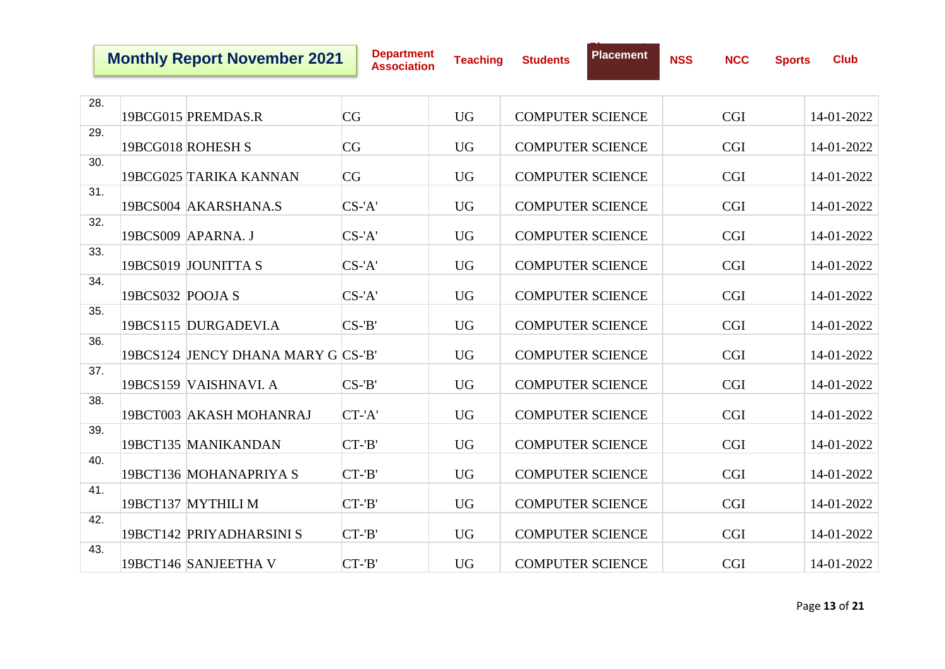**Placement**

| 28. |                  |                                    |           |           |                         |            |            |
|-----|------------------|------------------------------------|-----------|-----------|-------------------------|------------|------------|
|     |                  | 19BCG015 PREMDAS.R                 | CG        | <b>UG</b> | <b>COMPUTER SCIENCE</b> | <b>CGI</b> | 14-01-2022 |
| 29. |                  | 19BCG018 ROHESH S                  | CG        | <b>UG</b> | <b>COMPUTER SCIENCE</b> | <b>CGI</b> | 14-01-2022 |
| 30. |                  | 19BCG025 TARIKA KANNAN             | CG        | <b>UG</b> | <b>COMPUTER SCIENCE</b> | <b>CGI</b> | 14-01-2022 |
| 31. |                  | 19BCS004 AKARSHANA.S               | $CS$ -'A' | <b>UG</b> | <b>COMPUTER SCIENCE</b> | <b>CGI</b> | 14-01-2022 |
| 32. |                  |                                    |           |           |                         |            |            |
|     |                  | 19BCS009 APARNA. J                 | $CS$ -'A' | <b>UG</b> | <b>COMPUTER SCIENCE</b> | <b>CGI</b> | 14-01-2022 |
| 33. |                  | 19BCS019 JOUNITTA S                | $CS$ -'A' | <b>UG</b> | <b>COMPUTER SCIENCE</b> | <b>CGI</b> | 14-01-2022 |
| 34. | 19BCS032 POOJA S |                                    | $CS$ -'A' | <b>UG</b> | <b>COMPUTER SCIENCE</b> | <b>CGI</b> | 14-01-2022 |
| 35. |                  | 19BCS115 DURGADEVI.A               | $CS-B'$   | <b>UG</b> | <b>COMPUTER SCIENCE</b> | <b>CGI</b> | 14-01-2022 |
| 36. |                  |                                    |           |           |                         |            |            |
|     |                  | 19BCS124 JENCY DHANA MARY G CS-'B' |           | <b>UG</b> | <b>COMPUTER SCIENCE</b> | <b>CGI</b> | 14-01-2022 |
| 37. |                  | 19BCS159 VAISHNAVI. A              | $CS-B'$   | <b>UG</b> | <b>COMPUTER SCIENCE</b> | <b>CGI</b> | 14-01-2022 |
| 38. |                  | 19BCT003 AKASH MOHANRAJ            | CT-'A'    | <b>UG</b> | <b>COMPUTER SCIENCE</b> | <b>CGI</b> | 14-01-2022 |
| 39. |                  |                                    |           |           |                         |            |            |
|     |                  | 19BCT135 MANIKANDAN                | $CT - B'$ | <b>UG</b> | <b>COMPUTER SCIENCE</b> | <b>CGI</b> | 14-01-2022 |
| 40. |                  |                                    |           |           |                         |            |            |
|     |                  | 19BCT136 MOHANAPRIYA S             | $CT - B'$ | <b>UG</b> | <b>COMPUTER SCIENCE</b> | <b>CGI</b> | 14-01-2022 |
| 41. |                  | 19BCT137 MYTHILI M                 | $CT - B'$ | <b>UG</b> | <b>COMPUTER SCIENCE</b> | <b>CGI</b> | 14-01-2022 |
| 42. |                  | 19BCT142 PRIYADHARSINI S           | $CT - B'$ | <b>UG</b> | <b>COMPUTER SCIENCE</b> | <b>CGI</b> | 14-01-2022 |
| 43. |                  | 19BCT146 SANJEETHA V               | $CT - B'$ | <b>UG</b> | <b>COMPUTER SCIENCE</b> | <b>CGI</b> | 14-01-2022 |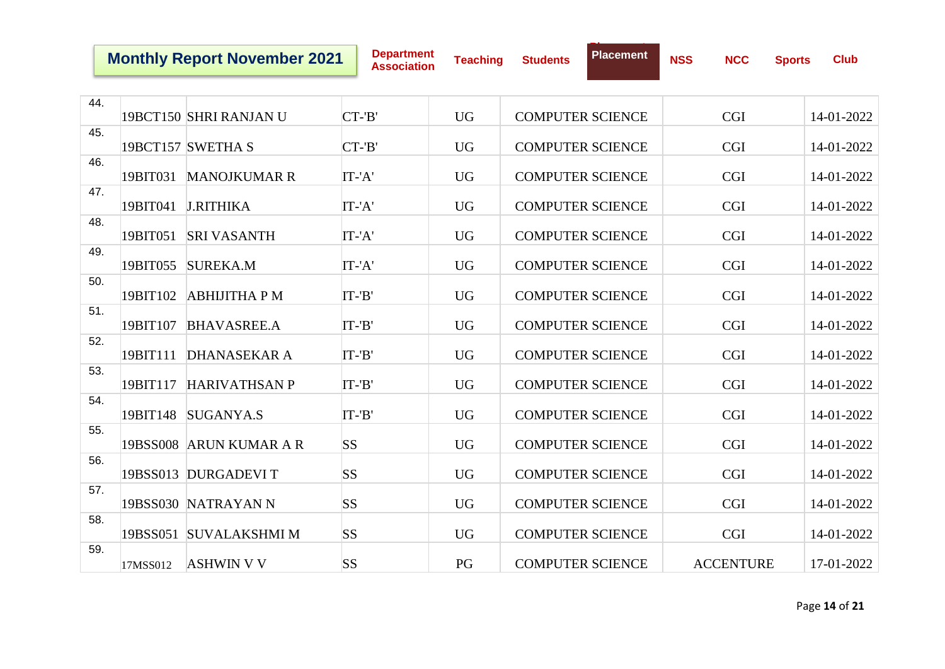**Department Association Teaching Students**

**Placement**

| 44. |          | 19BCT150 SHRI RANJAN U  | $CT - B'$ | <b>UG</b> | <b>COMPUTER SCIENCE</b> | <b>CGI</b>       | 14-01-2022 |
|-----|----------|-------------------------|-----------|-----------|-------------------------|------------------|------------|
|     |          |                         |           |           |                         |                  |            |
| 45. |          | 19BCT157 SWETHA S       | CT-'B'    | <b>UG</b> | <b>COMPUTER SCIENCE</b> | <b>CGI</b>       | 14-01-2022 |
| 46. | 19BIT031 | <b>MANOJKUMAR R</b>     | $IT -'A'$ | <b>UG</b> | <b>COMPUTER SCIENCE</b> | <b>CGI</b>       | 14-01-2022 |
| 47. |          |                         |           |           |                         |                  |            |
|     | 19BIT041 | <b>J.RITHIKA</b>        | IT-'A'    | <b>UG</b> | <b>COMPUTER SCIENCE</b> | <b>CGI</b>       | 14-01-2022 |
| 48. | 19BIT051 | <b>SRI VASANTH</b>      | IT-'A'    | <b>UG</b> | <b>COMPUTER SCIENCE</b> | <b>CGI</b>       | 14-01-2022 |
| 49. | 19BIT055 | <b>SUREKA.M</b>         | IT-'A'    | <b>UG</b> | <b>COMPUTER SCIENCE</b> | <b>CGI</b>       | 14-01-2022 |
|     |          |                         |           |           |                         |                  |            |
| 50. | 19BIT102 | <b>ABHIJITHA P M</b>    | $IT-B'$   | <b>UG</b> | <b>COMPUTER SCIENCE</b> | <b>CGI</b>       | 14-01-2022 |
| 51. | 19BIT107 | <b>BHAVASREE.A</b>      | $IT-B'$   | <b>UG</b> | <b>COMPUTER SCIENCE</b> | <b>CGI</b>       | 14-01-2022 |
| 52. |          |                         |           |           |                         |                  |            |
|     | 19BIT111 | <b>DHANASEKAR A</b>     | $IT-B'$   | <b>UG</b> | <b>COMPUTER SCIENCE</b> | <b>CGI</b>       | 14-01-2022 |
| 53. | 19BIT117 | <b>HARIVATHSAN P</b>    | IT-'B'    | <b>UG</b> | <b>COMPUTER SCIENCE</b> | <b>CGI</b>       | 14-01-2022 |
| 54. |          |                         |           |           |                         |                  |            |
|     | 19BIT148 | SUGANYA.S               | $IT-B'$   | <b>UG</b> | <b>COMPUTER SCIENCE</b> | <b>CGI</b>       | 14-01-2022 |
| 55. |          | 19BSS008 ARUN KUMAR A R | <b>SS</b> | <b>UG</b> | <b>COMPUTER SCIENCE</b> | <b>CGI</b>       | 14-01-2022 |
| 56. |          |                         |           |           |                         |                  |            |
|     |          | 19BSS013 DURGADEVIT     | <b>SS</b> | <b>UG</b> | <b>COMPUTER SCIENCE</b> | <b>CGI</b>       | 14-01-2022 |
| 57. |          |                         |           |           |                         |                  |            |
|     |          | 19BSS030 NATRAYAN N     | <b>SS</b> | <b>UG</b> | <b>COMPUTER SCIENCE</b> | <b>CGI</b>       | 14-01-2022 |
| 58. |          |                         |           |           |                         |                  |            |
|     |          | 19BSS051 SUVALAKSHMI M  | <b>SS</b> | <b>UG</b> | <b>COMPUTER SCIENCE</b> | <b>CGI</b>       | 14-01-2022 |
| 59. | 17MSS012 | <b>ASHWIN V V</b>       | <b>SS</b> | PG        | <b>COMPUTER SCIENCE</b> | <b>ACCENTURE</b> | 17-01-2022 |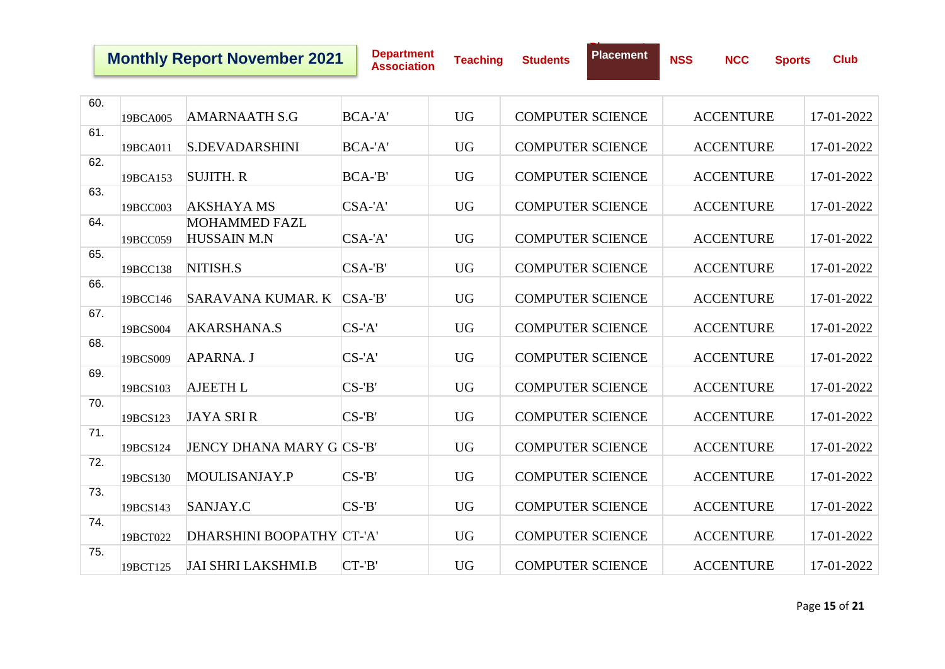**Department Association Teaching Students**

**Placement**

| 60. |          |                                  |           |           |                         |                  |            |
|-----|----------|----------------------------------|-----------|-----------|-------------------------|------------------|------------|
|     | 19BCA005 | <b>AMARNAATH S.G</b>             | BCA-'A'   | <b>UG</b> | <b>COMPUTER SCIENCE</b> | <b>ACCENTURE</b> | 17-01-2022 |
| 61. |          |                                  |           |           |                         |                  |            |
|     | 19BCA011 | <b>S.DEVADARSHINI</b>            | BCA-'A'   | <b>UG</b> | <b>COMPUTER SCIENCE</b> | <b>ACCENTURE</b> | 17-01-2022 |
| 62. | 19BCA153 | <b>SUJITH. R</b>                 | BCA-'B'   | <b>UG</b> | <b>COMPUTER SCIENCE</b> | <b>ACCENTURE</b> | 17-01-2022 |
| 63. |          |                                  |           |           |                         |                  |            |
|     | 19BCC003 | <b>AKSHAYA MS</b>                | $CSA-A'$  | <b>UG</b> | <b>COMPUTER SCIENCE</b> | <b>ACCENTURE</b> | 17-01-2022 |
| 64. |          | <b>MOHAMMED FAZL</b>             |           |           |                         |                  |            |
|     | 19BCC059 | <b>HUSSAIN M.N</b>               | $CSA-A'$  | <b>UG</b> | <b>COMPUTER SCIENCE</b> | <b>ACCENTURE</b> | 17-01-2022 |
| 65. |          |                                  |           |           |                         |                  |            |
|     | 19BCC138 | NITISH.S                         | $CSA-B'$  | <b>UG</b> | <b>COMPUTER SCIENCE</b> | <b>ACCENTURE</b> | 17-01-2022 |
| 66. |          | SARAVANA KUMAR. K                | $CSA-B'$  | <b>UG</b> | <b>COMPUTER SCIENCE</b> | <b>ACCENTURE</b> | 17-01-2022 |
| 67. | 19BCC146 |                                  |           |           |                         |                  |            |
|     | 19BCS004 | AKARSHANA.S                      | $CS$ -'A' | <b>UG</b> | <b>COMPUTER SCIENCE</b> | <b>ACCENTURE</b> | 17-01-2022 |
| 68. |          |                                  |           |           |                         |                  |            |
|     | 19BCS009 | APARNA. J                        | $CS$ -'A' | <b>UG</b> | <b>COMPUTER SCIENCE</b> | <b>ACCENTURE</b> | 17-01-2022 |
| 69. |          |                                  |           |           |                         |                  |            |
|     | 19BCS103 | <b>AJEETH L</b>                  | $CS-B'$   | <b>UG</b> | <b>COMPUTER SCIENCE</b> | <b>ACCENTURE</b> | 17-01-2022 |
| 70. |          |                                  |           |           |                         |                  |            |
| 71. | 19BCS123 | <b>JAYA SRI R</b>                | $CS-B'$   | <b>UG</b> | <b>COMPUTER SCIENCE</b> | <b>ACCENTURE</b> | 17-01-2022 |
|     | 19BCS124 | <b>JENCY DHANA MARY G CS-'B'</b> |           | <b>UG</b> | <b>COMPUTER SCIENCE</b> | <b>ACCENTURE</b> | 17-01-2022 |
| 72. |          |                                  |           |           |                         |                  |            |
|     | 19BCS130 | MOULISANJAY.P                    | $CS-B'$   | <b>UG</b> | <b>COMPUTER SCIENCE</b> | <b>ACCENTURE</b> | 17-01-2022 |
| 73. |          |                                  |           |           |                         |                  |            |
|     | 19BCS143 | SANJAY.C                         | $CS-B'$   | <b>UG</b> | <b>COMPUTER SCIENCE</b> | <b>ACCENTURE</b> | 17-01-2022 |
| 74. |          |                                  |           |           |                         |                  |            |
|     | 19BCT022 | DHARSHINI BOOPATHY CT-'A'        |           | <b>UG</b> | <b>COMPUTER SCIENCE</b> | <b>ACCENTURE</b> | 17-01-2022 |
| 75. | 19BCT125 | <b>JAI SHRI LAKSHMI.B</b>        | $CT - B'$ | <b>UG</b> | <b>COMPUTER SCIENCE</b> | <b>ACCENTURE</b> | 17-01-2022 |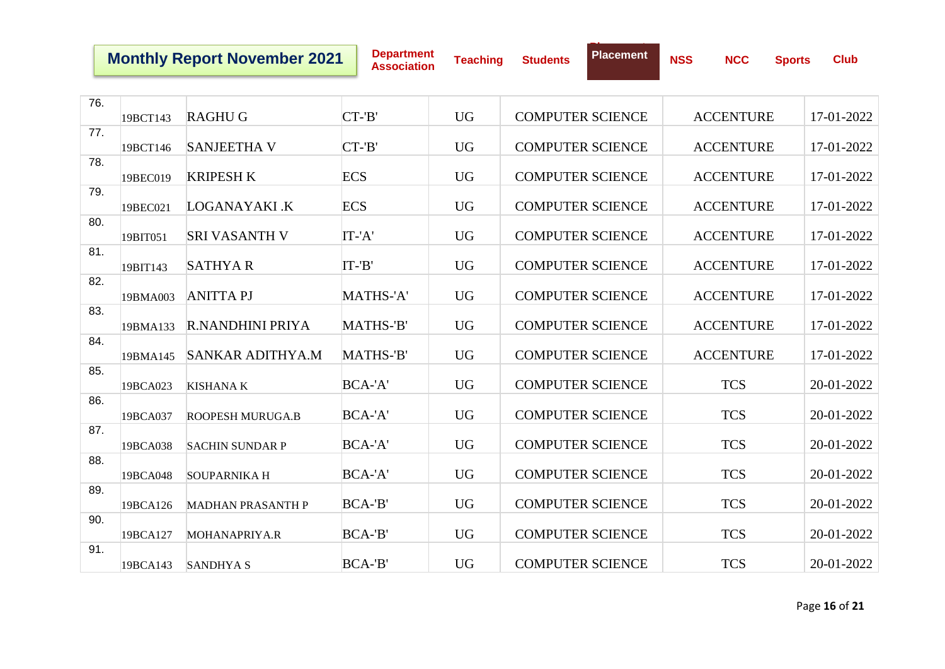**Department Association Teaching Students**

**Placement**

| 76. | 19BCT143 | <b>RAGHUG</b>            | $CT - B'$  | <b>UG</b> | <b>COMPUTER SCIENCE</b> | <b>ACCENTURE</b> | 17-01-2022 |
|-----|----------|--------------------------|------------|-----------|-------------------------|------------------|------------|
|     |          |                          |            |           |                         |                  |            |
| 77. | 19BCT146 | <b>SANJEETHA V</b>       | $CT - B'$  | <b>UG</b> | <b>COMPUTER SCIENCE</b> | <b>ACCENTURE</b> | 17-01-2022 |
| 78. | 19BEC019 | <b>KRIPESH K</b>         | <b>ECS</b> | <b>UG</b> | <b>COMPUTER SCIENCE</b> | <b>ACCENTURE</b> | 17-01-2022 |
| 79. | 19BEC021 | LOGANAYAKI .K            | <b>ECS</b> | <b>UG</b> | <b>COMPUTER SCIENCE</b> | <b>ACCENTURE</b> | 17-01-2022 |
| 80. | 19BIT051 | <b>SRI VASANTH V</b>     | IT-'A'     | <b>UG</b> | <b>COMPUTER SCIENCE</b> | <b>ACCENTURE</b> | 17-01-2022 |
| 81. | 19BIT143 | <b>SATHYAR</b>           | $IT-B'$    | <b>UG</b> | <b>COMPUTER SCIENCE</b> | <b>ACCENTURE</b> | 17-01-2022 |
| 82. | 19BMA003 | <b>ANITTA PJ</b>         | MATHS-'A'  | <b>UG</b> | <b>COMPUTER SCIENCE</b> | <b>ACCENTURE</b> | 17-01-2022 |
| 83. | 19BMA133 | <b>R.NANDHINI PRIYA</b>  | MATHS-'B'  | <b>UG</b> | <b>COMPUTER SCIENCE</b> | <b>ACCENTURE</b> | 17-01-2022 |
| 84. | 19BMA145 | <b>SANKAR ADITHYA.M</b>  | MATHS-'B'  | <b>UG</b> | <b>COMPUTER SCIENCE</b> | <b>ACCENTURE</b> | 17-01-2022 |
| 85. | 19BCA023 | <b>KISHANA K</b>         | BCA-'A'    | <b>UG</b> | <b>COMPUTER SCIENCE</b> | <b>TCS</b>       | 20-01-2022 |
| 86. | 19BCA037 | <b>ROOPESH MURUGA.B</b>  | BCA-'A'    | <b>UG</b> | <b>COMPUTER SCIENCE</b> | <b>TCS</b>       | 20-01-2022 |
| 87. | 19BCA038 | <b>SACHIN SUNDAR P</b>   | BCA-'A'    | <b>UG</b> | <b>COMPUTER SCIENCE</b> | <b>TCS</b>       | 20-01-2022 |
| 88. | 19BCA048 | <b>SOUPARNIKA H</b>      | BCA-'A'    | <b>UG</b> | <b>COMPUTER SCIENCE</b> | <b>TCS</b>       | 20-01-2022 |
| 89. | 19BCA126 | <b>MADHAN PRASANTH P</b> | BCA-'B'    | <b>UG</b> | <b>COMPUTER SCIENCE</b> | <b>TCS</b>       | 20-01-2022 |
| 90. | 19BCA127 | MOHANAPRIYA.R            | BCA-'B'    | <b>UG</b> | <b>COMPUTER SCIENCE</b> | <b>TCS</b>       | 20-01-2022 |
| 91. | 19BCA143 | <b>SANDHYAS</b>          | $BCA-B'$   | <b>UG</b> | <b>COMPUTER SCIENCE</b> | <b>TCS</b>       | 20-01-2022 |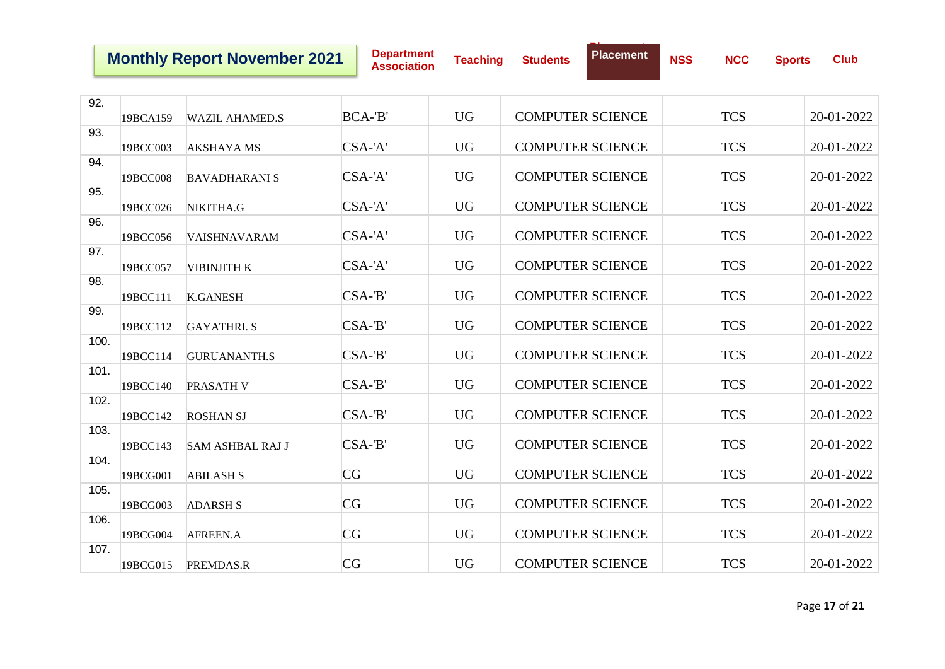**Department Association Teaching Students**

**Placement**

| 92.  |          |                         |          |           |                         |            |            |
|------|----------|-------------------------|----------|-----------|-------------------------|------------|------------|
|      | 19BCA159 | <b>WAZIL AHAMED.S</b>   | BCA-'B'  | <b>UG</b> | <b>COMPUTER SCIENCE</b> | <b>TCS</b> | 20-01-2022 |
| 93.  |          |                         |          |           |                         |            |            |
|      | 19BCC003 | <b>AKSHAYAMS</b>        | $CSA-A'$ | <b>UG</b> | <b>COMPUTER SCIENCE</b> | <b>TCS</b> | 20-01-2022 |
| 94.  | 19BCC008 | <b>BAVADHARANI S</b>    | $CSA-A'$ | <b>UG</b> | <b>COMPUTER SCIENCE</b> | <b>TCS</b> | 20-01-2022 |
| 95.  | 19BCC026 | NIKITHA.G               | $CSA-A'$ | <b>UG</b> | <b>COMPUTER SCIENCE</b> | <b>TCS</b> | 20-01-2022 |
| 96.  | 19BCC056 | <b>VAISHNAVARAM</b>     | $CSA-A'$ | <b>UG</b> | <b>COMPUTER SCIENCE</b> | <b>TCS</b> | 20-01-2022 |
| 97.  | 19BCC057 | <b>VIBINJITH K</b>      | $CSA-A'$ | <b>UG</b> | <b>COMPUTER SCIENCE</b> | <b>TCS</b> | 20-01-2022 |
| 98.  | 19BCC111 | <b>K.GANESH</b>         | $CSA-B'$ | <b>UG</b> | <b>COMPUTER SCIENCE</b> | <b>TCS</b> | 20-01-2022 |
| 99.  | 19BCC112 | <b>GAYATHRI.S</b>       | $CSA-B'$ | <b>UG</b> | <b>COMPUTER SCIENCE</b> | <b>TCS</b> | 20-01-2022 |
| 100. | 19BCC114 | <b>GURUANANTH.S</b>     | $CSA-B'$ | <b>UG</b> | <b>COMPUTER SCIENCE</b> | <b>TCS</b> | 20-01-2022 |
| 101. | 19BCC140 | <b>PRASATH V</b>        | $CSA-B'$ | <b>UG</b> | <b>COMPUTER SCIENCE</b> | <b>TCS</b> | 20-01-2022 |
| 102. | 19BCC142 | <b>ROSHAN SJ</b>        | $CSA-B'$ | <b>UG</b> | <b>COMPUTER SCIENCE</b> | <b>TCS</b> | 20-01-2022 |
| 103. | 19BCC143 | <b>SAM ASHBAL RAJ J</b> | $CSA-B'$ | <b>UG</b> | <b>COMPUTER SCIENCE</b> | <b>TCS</b> | 20-01-2022 |
| 104. | 19BCG001 | <b>ABILASH S</b>        | CG       | <b>UG</b> | <b>COMPUTER SCIENCE</b> | <b>TCS</b> | 20-01-2022 |
| 105. | 19BCG003 | <b>ADARSH S</b>         | CG       | <b>UG</b> | <b>COMPUTER SCIENCE</b> | <b>TCS</b> | 20-01-2022 |
| 106. | 19BCG004 | AFREEN.A                | CG       | <b>UG</b> | <b>COMPUTER SCIENCE</b> | <b>TCS</b> | 20-01-2022 |
| 107. | 19BCG015 | PREMDAS.R               | CG       | <b>UG</b> | <b>COMPUTER SCIENCE</b> | <b>TCS</b> | 20-01-2022 |
|      |          |                         |          |           |                         |            |            |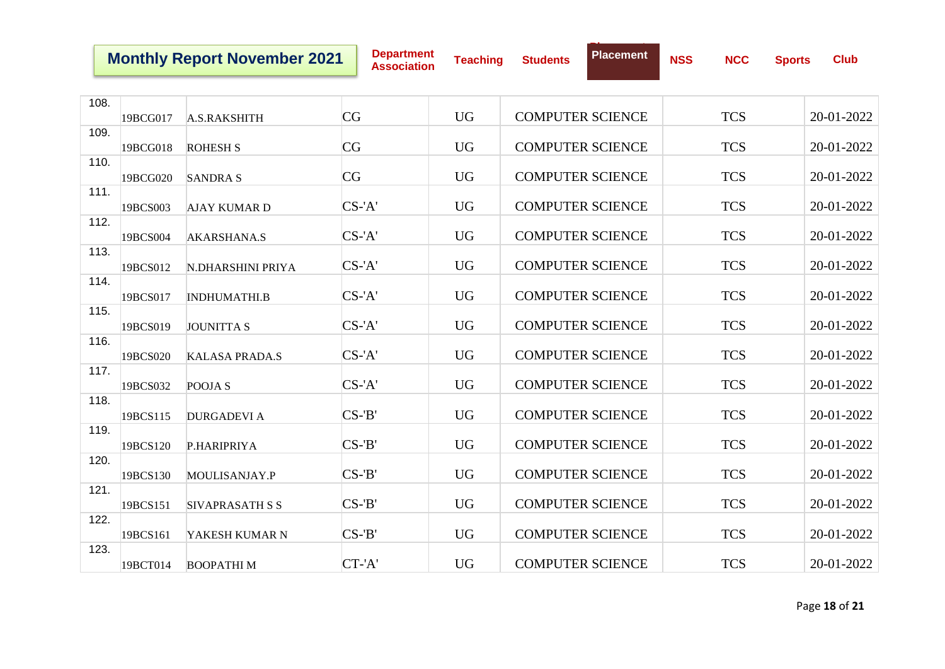**Department Association Teaching Students**

**Placement**

| 108. | 19BCG017 | A.S.RAKSHITH           | CG        | <b>UG</b> | <b>COMPUTER SCIENCE</b> | <b>TCS</b> | 20-01-2022 |
|------|----------|------------------------|-----------|-----------|-------------------------|------------|------------|
|      |          |                        |           |           |                         |            |            |
| 109. | 19BCG018 | <b>ROHESH S</b>        | CG        | <b>UG</b> | <b>COMPUTER SCIENCE</b> | <b>TCS</b> | 20-01-2022 |
| 110. |          |                        |           |           |                         |            |            |
|      | 19BCG020 | <b>SANDRA S</b>        | CG        | <b>UG</b> | <b>COMPUTER SCIENCE</b> | <b>TCS</b> | 20-01-2022 |
| 111. |          |                        |           |           |                         |            |            |
|      | 19BCS003 | <b>AJAY KUMAR D</b>    | $CS$ -'A' | <b>UG</b> | <b>COMPUTER SCIENCE</b> | <b>TCS</b> | 20-01-2022 |
| 112. |          |                        |           |           |                         |            |            |
|      |          |                        |           |           |                         |            |            |
|      | 19BCS004 | AKARSHANA.S            | $CS$ -'A' | <b>UG</b> | <b>COMPUTER SCIENCE</b> | <b>TCS</b> | 20-01-2022 |
| 113. |          |                        |           |           |                         |            |            |
|      | 19BCS012 | N.DHARSHINI PRIYA      | $CS$ -'A' | <b>UG</b> | <b>COMPUTER SCIENCE</b> | <b>TCS</b> | 20-01-2022 |
| 114. |          |                        |           |           |                         |            |            |
|      | 19BCS017 | <b>INDHUMATHI.B</b>    | $CS$ -'A' | <b>UG</b> | <b>COMPUTER SCIENCE</b> | <b>TCS</b> | 20-01-2022 |
|      |          |                        |           |           |                         |            |            |
| 115. |          |                        |           |           |                         |            |            |
|      | 19BCS019 | <b>JOUNITTA S</b>      | $CS$ -'A' | <b>UG</b> | <b>COMPUTER SCIENCE</b> | <b>TCS</b> | 20-01-2022 |
| 116. |          |                        |           |           |                         |            |            |
|      | 19BCS020 | <b>KALASA PRADA.S</b>  | $CS$ -'A' | <b>UG</b> | <b>COMPUTER SCIENCE</b> | <b>TCS</b> | 20-01-2022 |
| 117. |          |                        |           |           |                         |            |            |
|      |          |                        | $CS$ -'A' | <b>UG</b> | <b>COMPUTER SCIENCE</b> | <b>TCS</b> | 20-01-2022 |
|      | 19BCS032 | POOJA S                |           |           |                         |            |            |
| 118. |          |                        |           |           |                         |            |            |
|      | 19BCS115 | <b>DURGADEVI A</b>     | $CS-B'$   | <b>UG</b> | <b>COMPUTER SCIENCE</b> | <b>TCS</b> | 20-01-2022 |
| 119. |          |                        |           |           |                         |            |            |
|      | 19BCS120 | P.HARIPRIYA            | $CS-B'$   | <b>UG</b> | <b>COMPUTER SCIENCE</b> | <b>TCS</b> | 20-01-2022 |
| 120. |          |                        |           |           |                         |            |            |
|      |          |                        | $CS-B'$   | <b>UG</b> | <b>COMPUTER SCIENCE</b> | <b>TCS</b> | 20-01-2022 |
|      | 19BCS130 | MOULISANJAY.P          |           |           |                         |            |            |
| 121. |          |                        |           |           |                         |            |            |
|      | 19BCS151 | <b>SIVAPRASATH S S</b> | $CS-B'$   | <b>UG</b> | <b>COMPUTER SCIENCE</b> | <b>TCS</b> | 20-01-2022 |
| 122. |          |                        |           |           |                         |            |            |
|      | 19BCS161 | YAKESH KUMAR N         | $CS-B'$   | <b>UG</b> | <b>COMPUTER SCIENCE</b> | <b>TCS</b> | 20-01-2022 |
| 123. |          |                        |           |           |                         |            |            |
|      |          |                        |           |           |                         |            |            |
|      | 19BCT014 | <b>BOOPATHIM</b>       | $CT - A'$ | <b>UG</b> | <b>COMPUTER SCIENCE</b> | <b>TCS</b> | 20-01-2022 |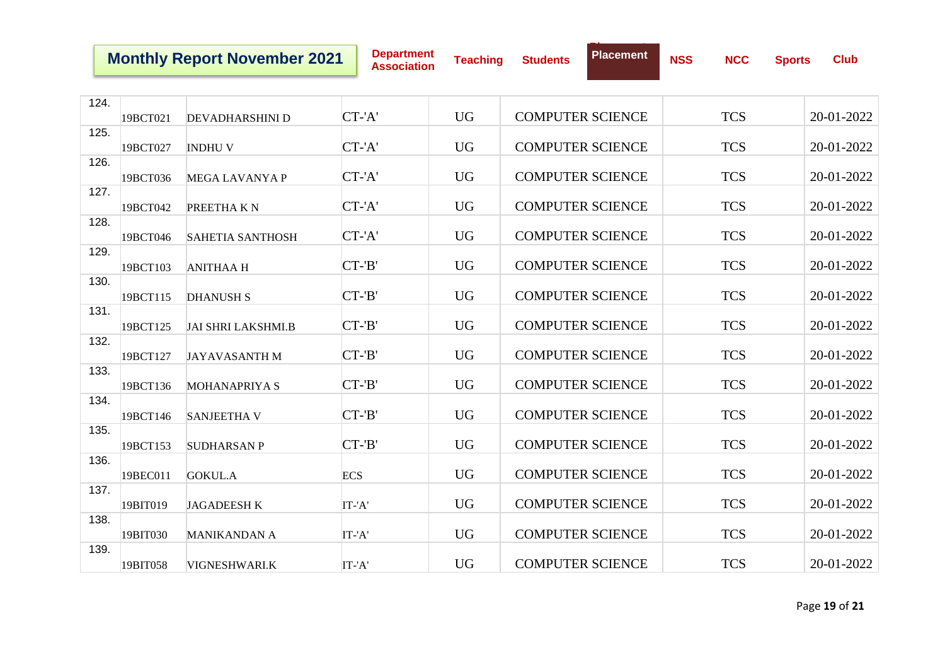**Department Association Teaching Students**

**Placement**

| 124. |          |                           |            |           |                         |            |            |
|------|----------|---------------------------|------------|-----------|-------------------------|------------|------------|
|      | 19BCT021 | <b>DEVADHARSHINI D</b>    | CT-'A'     | <b>UG</b> | <b>COMPUTER SCIENCE</b> | <b>TCS</b> | 20-01-2022 |
| 125. |          |                           |            |           |                         |            |            |
|      | 19BCT027 | <b>INDHUV</b>             | CT-'A'     | <b>UG</b> | <b>COMPUTER SCIENCE</b> | <b>TCS</b> | 20-01-2022 |
| 126. |          |                           |            |           |                         |            |            |
|      | 19BCT036 | <b>MEGA LAVANYA P</b>     | CT-'A'     | <b>UG</b> | <b>COMPUTER SCIENCE</b> | <b>TCS</b> | 20-01-2022 |
| 127. | 19BCT042 | PREETHAKN                 | CT-'A'     | <b>UG</b> | <b>COMPUTER SCIENCE</b> | <b>TCS</b> | 20-01-2022 |
| 128. |          |                           |            |           |                         |            |            |
|      | 19BCT046 | <b>SAHETIA SANTHOSH</b>   | $CT - A'$  | <b>UG</b> | <b>COMPUTER SCIENCE</b> | <b>TCS</b> | 20-01-2022 |
| 129. |          |                           |            |           |                         |            |            |
|      | 19BCT103 | <b>ANITHAA H</b>          | $CT - B'$  | <b>UG</b> | <b>COMPUTER SCIENCE</b> | <b>TCS</b> | 20-01-2022 |
| 130. |          |                           |            |           |                         |            |            |
|      | 19BCT115 | <b>DHANUSH S</b>          | $CT - B'$  | <b>UG</b> | <b>COMPUTER SCIENCE</b> | <b>TCS</b> | 20-01-2022 |
| 131. | 19BCT125 | <b>JAI SHRI LAKSHMI.B</b> | $CT - B'$  | <b>UG</b> | <b>COMPUTER SCIENCE</b> | <b>TCS</b> | 20-01-2022 |
| 132. |          |                           |            |           |                         |            |            |
|      | 19BCT127 | <b>JAYAVASANTH M</b>      | $CT - B'$  | <b>UG</b> | <b>COMPUTER SCIENCE</b> | <b>TCS</b> | 20-01-2022 |
| 133. |          |                           |            |           |                         |            |            |
|      | 19BCT136 | <b>MOHANAPRIYA S</b>      | $CT - B'$  | <b>UG</b> | <b>COMPUTER SCIENCE</b> | <b>TCS</b> | 20-01-2022 |
| 134. |          |                           |            |           |                         |            |            |
|      | 19BCT146 | <b>SANJEETHA V</b>        | $CT - B'$  | <b>UG</b> | <b>COMPUTER SCIENCE</b> | <b>TCS</b> | 20-01-2022 |
| 135. | 19BCT153 | <b>SUDHARSAN P</b>        | $CT - B'$  | <b>UG</b> | <b>COMPUTER SCIENCE</b> | <b>TCS</b> | 20-01-2022 |
| 136. |          |                           |            |           |                         |            |            |
|      | 19BEC011 | <b>GOKUL.A</b>            | <b>ECS</b> | <b>UG</b> | <b>COMPUTER SCIENCE</b> | <b>TCS</b> | 20-01-2022 |
| 137. |          |                           |            |           |                         |            |            |
|      | 19BIT019 | <b>JAGADEESHK</b>         | IT-'A'     | <b>UG</b> | <b>COMPUTER SCIENCE</b> | <b>TCS</b> | 20-01-2022 |
| 138. |          |                           |            |           |                         |            |            |
|      | 19BIT030 | <b>MANIKANDAN A</b>       | IT-'A'     | <b>UG</b> | <b>COMPUTER SCIENCE</b> | <b>TCS</b> | 20-01-2022 |
| 139. |          |                           |            |           |                         |            |            |
|      | 19BIT058 | VIGNESHWARI.K             | IT-'A'     | <b>UG</b> | <b>COMPUTER SCIENCE</b> | <b>TCS</b> | 20-01-2022 |